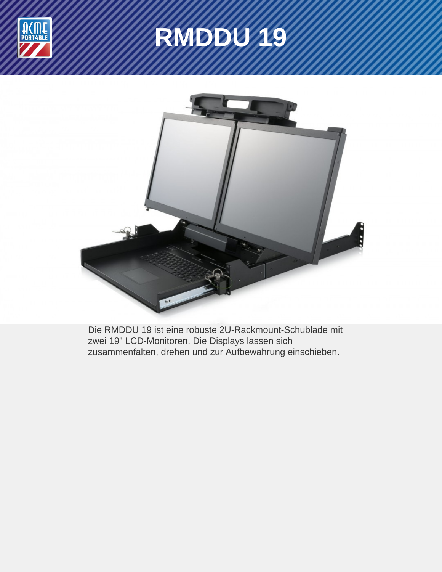

# **RMDDU 19**



Die RMDDU 19 ist eine robuste 2U-Rackmount-Schublade mit zwei 19" LCD-Monitoren. Die Displays lassen sich zusammenfalten, drehen und zur Aufbewahrung einschieben.